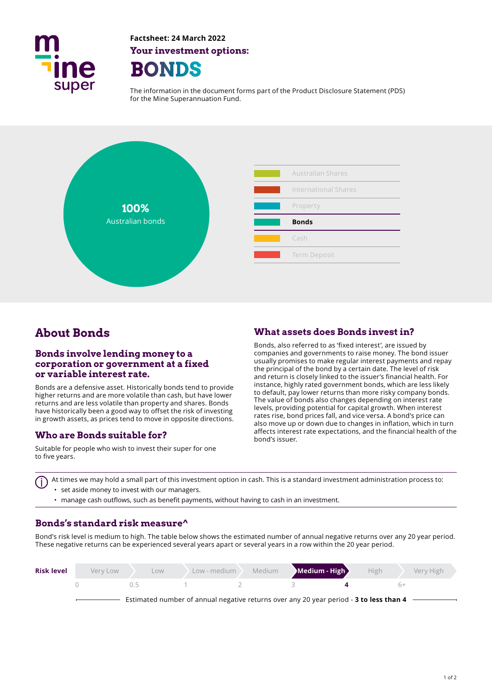

**Factsheet: 24 March 2022 Your investment options: BONDS** 

The information in the document forms part of the Product Disclosure Statement (PDS) for the Mine Superannuation Fund.



# **About Bonds**

#### **Bonds involve lending money to a corporation or government at a fixed or variable interest rate.**

Bonds are a defensive asset. Historically bonds tend to provide higher returns and are more volatile than cash, but have lower returns and are less volatile than property and shares. Bonds have historically been a good way to offset the risk of investing in growth assets, as prices tend to move in opposite directions.

#### **Who are Bonds suitable for?**

Suitable for people who wish to invest their super for one to five years.

### **What assets does Bonds invest in?**

Bonds, also referred to as 'fixed interest', are issued by companies and governments to raise money. The bond issuer usually promises to make regular interest payments and repay the principal of the bond by a certain date. The level of risk and return is closely linked to the issuer's fnancial health. For instance, highly rated government bonds, which are less likely to default, pay lower returns than more risky company bonds. The value of bonds also changes depending on interest rate levels, providing potential for capital growth. When interest rates rise, bond prices fall, and vice versa. A bond's price can also move up or down due to changes in infation, which in turn afects interest rate expectations, and the fnancial health of the bond's issuer.

At times we may hold a small part of this investment option in cash. This is a standard investment administration process to: • set aside money to invest with our managers.

• manage cash outflows, such as benefit payments, without having to cash in an investment.

#### **Bonds's standard risk measure^**

Bond's risk level is medium to high. The table below shows the estimated number of annual negative returns over any 20 year period. These negative returns can be experienced several years apart or several years in a row within the 20 year period.

| <b>Risk level</b> | Very Low | LOW | Low - medium | Medium | Medium - High                                                                          | High | Very High |
|-------------------|----------|-----|--------------|--------|----------------------------------------------------------------------------------------|------|-----------|
|                   |          | ()  |              |        |                                                                                        | $h+$ |           |
|                   |          |     |              |        | Estimated number of annual negative returns over any 20 year period - 3 to less than 4 |      |           |